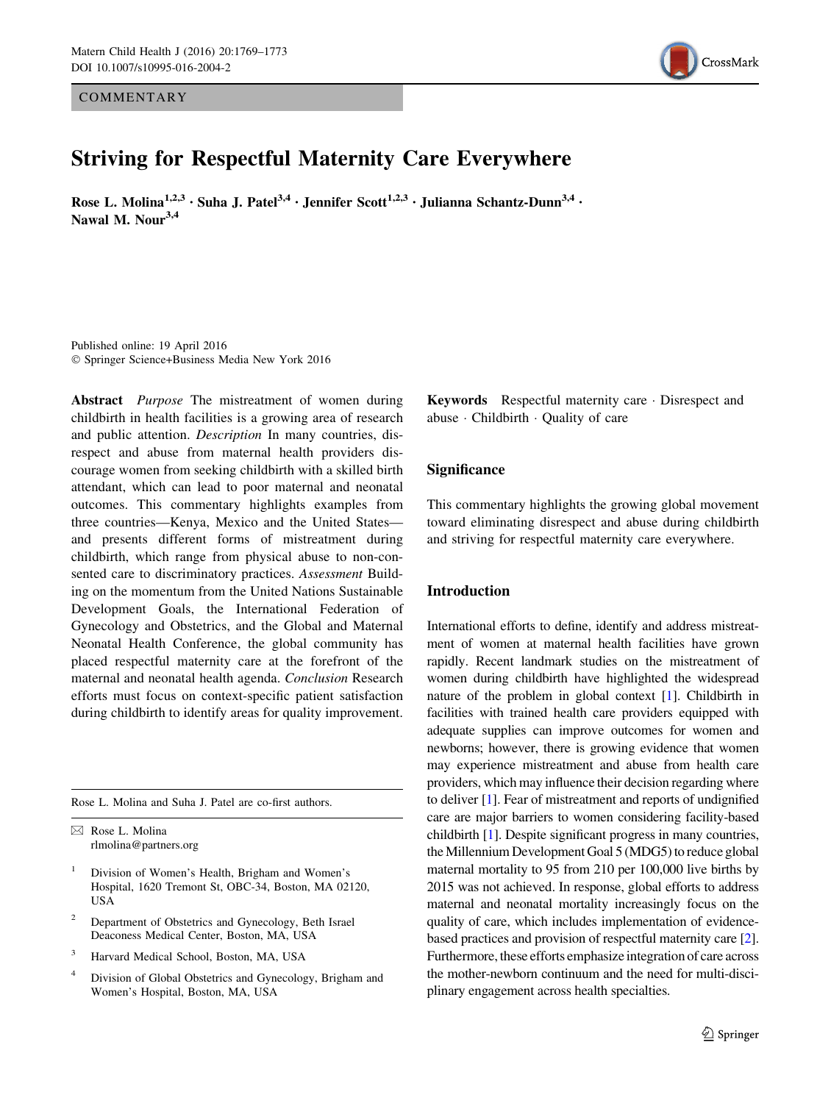**COMMENTARY** 



# Striving for Respectful Maternity Care Everywhere

Rose L. Molina<sup>1,2,3</sup> · Suha J. Patel<sup>3,4</sup> · Jennifer Scott<sup>1,2,3</sup> · Julianna Schantz-Dunn<sup>3,4</sup> · Nawal M. Nour<sup>3,4</sup>

Published online: 19 April 2016 - Springer Science+Business Media New York 2016

Abstract *Purpose* The mistreatment of women during childbirth in health facilities is a growing area of research and public attention. Description In many countries, disrespect and abuse from maternal health providers discourage women from seeking childbirth with a skilled birth attendant, which can lead to poor maternal and neonatal outcomes. This commentary highlights examples from three countries—Kenya, Mexico and the United States and presents different forms of mistreatment during childbirth, which range from physical abuse to non-consented care to discriminatory practices. Assessment Building on the momentum from the United Nations Sustainable Development Goals, the International Federation of Gynecology and Obstetrics, and the Global and Maternal Neonatal Health Conference, the global community has placed respectful maternity care at the forefront of the maternal and neonatal health agenda. Conclusion Research efforts must focus on context-specific patient satisfaction during childbirth to identify areas for quality improvement.

Rose L. Molina and Suha J. Patel are co-first authors.

& Rose L. Molina rlmolina@partners.org

- <sup>1</sup> Division of Women's Health, Brigham and Women's Hospital, 1620 Tremont St, OBC-34, Boston, MA 02120, USA
- Department of Obstetrics and Gynecology, Beth Israel Deaconess Medical Center, Boston, MA, USA
- <sup>3</sup> Harvard Medical School, Boston, MA, USA
- <sup>4</sup> Division of Global Obstetrics and Gynecology, Brigham and Women's Hospital, Boston, MA, USA

Keywords Respectful maternity care - Disrespect and abuse - Childbirth - Quality of care

# Significance

This commentary highlights the growing global movement toward eliminating disrespect and abuse during childbirth and striving for respectful maternity care everywhere.

#### Introduction

International efforts to define, identify and address mistreatment of women at maternal health facilities have grown rapidly. Recent landmark studies on the mistreatment of women during childbirth have highlighted the widespread nature of the problem in global context [[1](#page-3-0)]. Childbirth in facilities with trained health care providers equipped with adequate supplies can improve outcomes for women and newborns; however, there is growing evidence that women may experience mistreatment and abuse from health care providers, which may influence their decision regarding where to deliver [\[1](#page-3-0)]. Fear of mistreatment and reports of undignified care are major barriers to women considering facility-based childbirth [\[1](#page-3-0)]. Despite significant progress in many countries, the Millennium Development Goal 5 (MDG5) to reduce global maternal mortality to 95 from 210 per 100,000 live births by 2015 was not achieved. In response, global efforts to address maternal and neonatal mortality increasingly focus on the quality of care, which includes implementation of evidencebased practices and provision of respectful maternity care [[2\]](#page-3-0). Furthermore, these efforts emphasize integration of care across the mother-newborn continuum and the need for multi-disciplinary engagement across health specialties.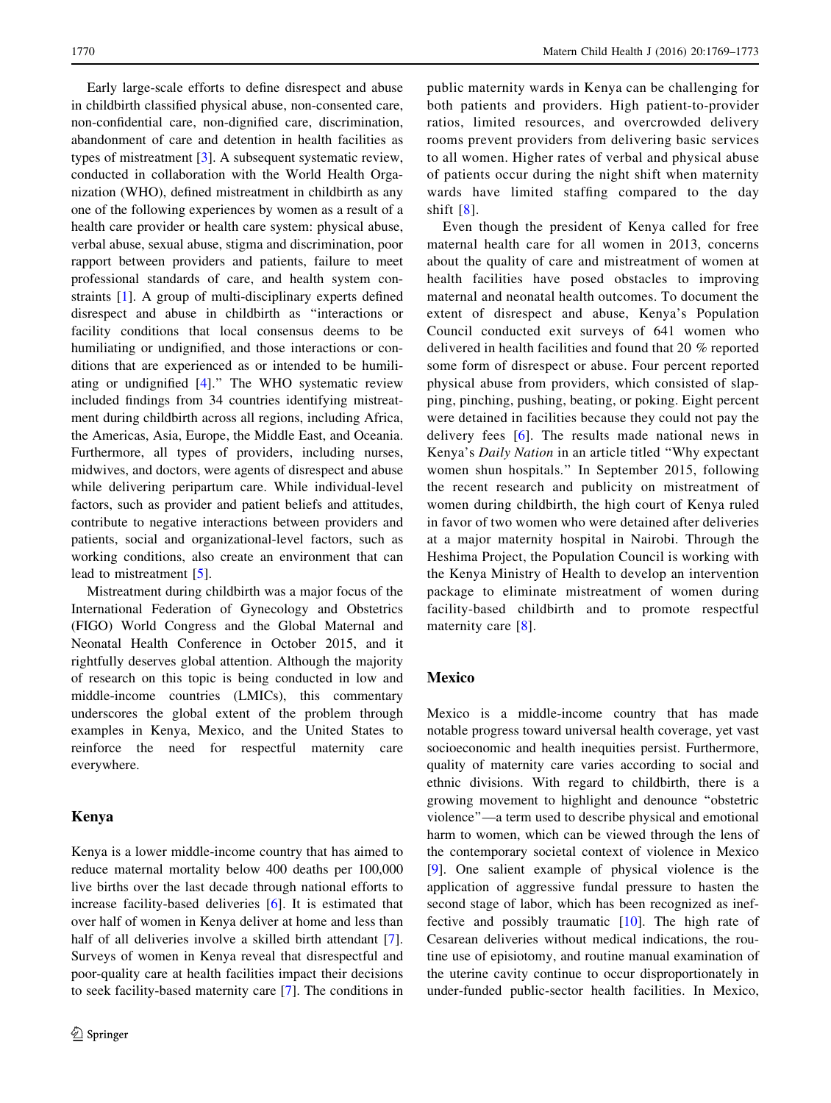Early large-scale efforts to define disrespect and abuse in childbirth classified physical abuse, non-consented care, non-confidential care, non-dignified care, discrimination, abandonment of care and detention in health facilities as types of mistreatment [\[3](#page-3-0)]. A subsequent systematic review, conducted in collaboration with the World Health Organization (WHO), defined mistreatment in childbirth as any one of the following experiences by women as a result of a health care provider or health care system: physical abuse, verbal abuse, sexual abuse, stigma and discrimination, poor rapport between providers and patients, failure to meet professional standards of care, and health system constraints [[1\]](#page-3-0). A group of multi-disciplinary experts defined disrespect and abuse in childbirth as ''interactions or facility conditions that local consensus deems to be humiliating or undignified, and those interactions or conditions that are experienced as or intended to be humiliating or undignified [[4\]](#page-3-0).'' The WHO systematic review included findings from 34 countries identifying mistreatment during childbirth across all regions, including Africa, the Americas, Asia, Europe, the Middle East, and Oceania. Furthermore, all types of providers, including nurses, midwives, and doctors, were agents of disrespect and abuse while delivering peripartum care. While individual-level factors, such as provider and patient beliefs and attitudes, contribute to negative interactions between providers and patients, social and organizational-level factors, such as working conditions, also create an environment that can lead to mistreatment [\[5](#page-3-0)].

Mistreatment during childbirth was a major focus of the International Federation of Gynecology and Obstetrics (FIGO) World Congress and the Global Maternal and Neonatal Health Conference in October 2015, and it rightfully deserves global attention. Although the majority of research on this topic is being conducted in low and middle-income countries (LMICs), this commentary underscores the global extent of the problem through examples in Kenya, Mexico, and the United States to reinforce the need for respectful maternity care everywhere.

# Kenya

Kenya is a lower middle-income country that has aimed to reduce maternal mortality below 400 deaths per 100,000 live births over the last decade through national efforts to increase facility-based deliveries [\[6](#page-3-0)]. It is estimated that over half of women in Kenya deliver at home and less than half of all deliveries involve a skilled birth attendant [\[7](#page-3-0)]. Surveys of women in Kenya reveal that disrespectful and poor-quality care at health facilities impact their decisions to seek facility-based maternity care [\[7](#page-3-0)]. The conditions in

public maternity wards in Kenya can be challenging for both patients and providers. High patient-to-provider ratios, limited resources, and overcrowded delivery rooms prevent providers from delivering basic services to all women. Higher rates of verbal and physical abuse of patients occur during the night shift when maternity wards have limited staffing compared to the day shift [[8](#page-3-0)].

Even though the president of Kenya called for free maternal health care for all women in 2013, concerns about the quality of care and mistreatment of women at health facilities have posed obstacles to improving maternal and neonatal health outcomes. To document the extent of disrespect and abuse, Kenya's Population Council conducted exit surveys of 641 women who delivered in health facilities and found that 20 % reported some form of disrespect or abuse. Four percent reported physical abuse from providers, which consisted of slapping, pinching, pushing, beating, or poking. Eight percent were detained in facilities because they could not pay the delivery fees [[6\]](#page-3-0). The results made national news in Kenya's Daily Nation in an article titled ''Why expectant women shun hospitals.'' In September 2015, following the recent research and publicity on mistreatment of women during childbirth, the high court of Kenya ruled in favor of two women who were detained after deliveries at a major maternity hospital in Nairobi. Through the Heshima Project, the Population Council is working with the Kenya Ministry of Health to develop an intervention package to eliminate mistreatment of women during facility-based childbirth and to promote respectful maternity care [\[8\]](#page-3-0).

# Mexico

Mexico is a middle-income country that has made notable progress toward universal health coverage, yet vast socioeconomic and health inequities persist. Furthermore, quality of maternity care varies according to social and ethnic divisions. With regard to childbirth, there is a growing movement to highlight and denounce ''obstetric violence''—a term used to describe physical and emotional harm to women, which can be viewed through the lens of the contemporary societal context of violence in Mexico [\[9](#page-3-0)]. One salient example of physical violence is the application of aggressive fundal pressure to hasten the second stage of labor, which has been recognized as ineffective and possibly traumatic [\[10](#page-3-0)]. The high rate of Cesarean deliveries without medical indications, the routine use of episiotomy, and routine manual examination of the uterine cavity continue to occur disproportionately in under-funded public-sector health facilities. In Mexico,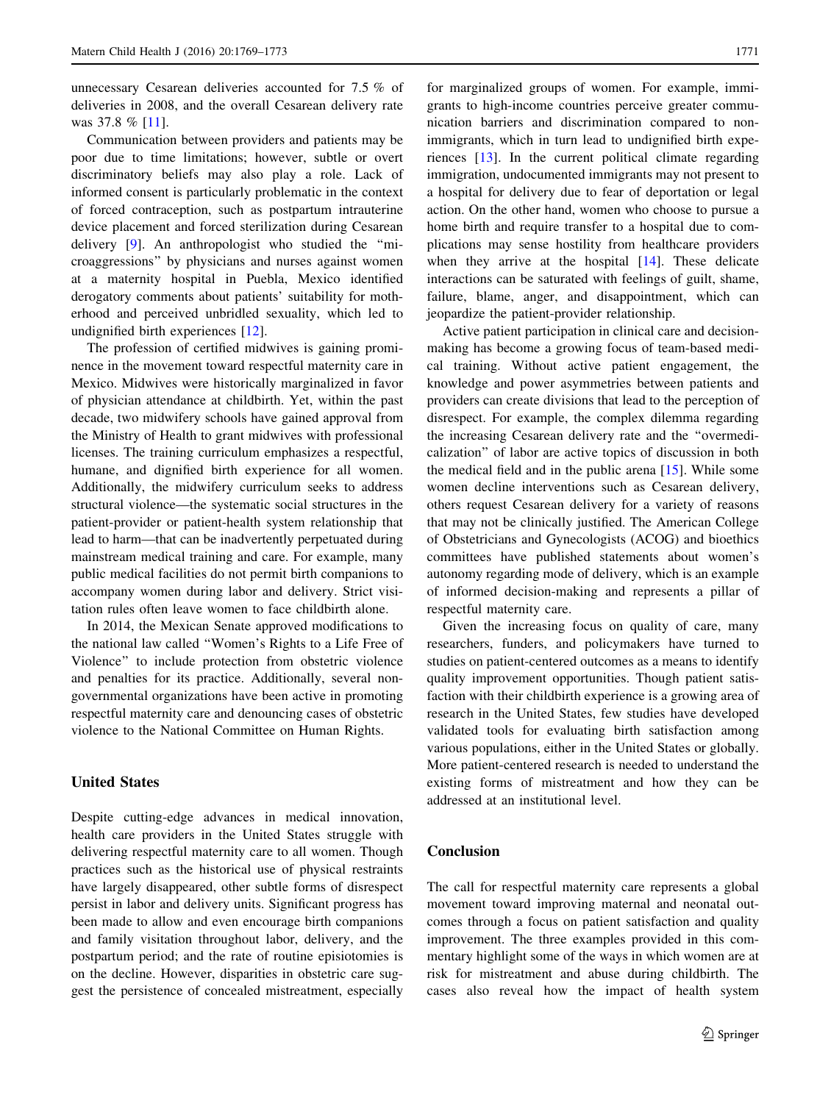unnecessary Cesarean deliveries accounted for 7.5 % of deliveries in 2008, and the overall Cesarean delivery rate was 37.8 % [[11\]](#page-3-0).

Communication between providers and patients may be poor due to time limitations; however, subtle or overt discriminatory beliefs may also play a role. Lack of informed consent is particularly problematic in the context of forced contraception, such as postpartum intrauterine device placement and forced sterilization during Cesarean delivery [\[9](#page-3-0)]. An anthropologist who studied the ''microaggressions'' by physicians and nurses against women at a maternity hospital in Puebla, Mexico identified derogatory comments about patients' suitability for motherhood and perceived unbridled sexuality, which led to undignified birth experiences [\[12](#page-3-0)].

The profession of certified midwives is gaining prominence in the movement toward respectful maternity care in Mexico. Midwives were historically marginalized in favor of physician attendance at childbirth. Yet, within the past decade, two midwifery schools have gained approval from the Ministry of Health to grant midwives with professional licenses. The training curriculum emphasizes a respectful, humane, and dignified birth experience for all women. Additionally, the midwifery curriculum seeks to address structural violence—the systematic social structures in the patient-provider or patient-health system relationship that lead to harm—that can be inadvertently perpetuated during mainstream medical training and care. For example, many public medical facilities do not permit birth companions to accompany women during labor and delivery. Strict visitation rules often leave women to face childbirth alone.

In 2014, the Mexican Senate approved modifications to the national law called ''Women's Rights to a Life Free of Violence'' to include protection from obstetric violence and penalties for its practice. Additionally, several nongovernmental organizations have been active in promoting respectful maternity care and denouncing cases of obstetric violence to the National Committee on Human Rights.

#### United States

Despite cutting-edge advances in medical innovation, health care providers in the United States struggle with delivering respectful maternity care to all women. Though practices such as the historical use of physical restraints have largely disappeared, other subtle forms of disrespect persist in labor and delivery units. Significant progress has been made to allow and even encourage birth companions and family visitation throughout labor, delivery, and the postpartum period; and the rate of routine episiotomies is on the decline. However, disparities in obstetric care suggest the persistence of concealed mistreatment, especially

for marginalized groups of women. For example, immigrants to high-income countries perceive greater communication barriers and discrimination compared to nonimmigrants, which in turn lead to undignified birth experiences [[13\]](#page-3-0). In the current political climate regarding immigration, undocumented immigrants may not present to a hospital for delivery due to fear of deportation or legal action. On the other hand, women who choose to pursue a home birth and require transfer to a hospital due to complications may sense hostility from healthcare providers when they arrive at the hospital [[14\]](#page-3-0). These delicate interactions can be saturated with feelings of guilt, shame, failure, blame, anger, and disappointment, which can jeopardize the patient-provider relationship.

Active patient participation in clinical care and decisionmaking has become a growing focus of team-based medical training. Without active patient engagement, the knowledge and power asymmetries between patients and providers can create divisions that lead to the perception of disrespect. For example, the complex dilemma regarding the increasing Cesarean delivery rate and the ''overmedicalization'' of labor are active topics of discussion in both the medical field and in the public arena [[15\]](#page-4-0). While some women decline interventions such as Cesarean delivery, others request Cesarean delivery for a variety of reasons that may not be clinically justified. The American College of Obstetricians and Gynecologists (ACOG) and bioethics committees have published statements about women's autonomy regarding mode of delivery, which is an example of informed decision-making and represents a pillar of respectful maternity care.

Given the increasing focus on quality of care, many researchers, funders, and policymakers have turned to studies on patient-centered outcomes as a means to identify quality improvement opportunities. Though patient satisfaction with their childbirth experience is a growing area of research in the United States, few studies have developed validated tools for evaluating birth satisfaction among various populations, either in the United States or globally. More patient-centered research is needed to understand the existing forms of mistreatment and how they can be addressed at an institutional level.

#### **Conclusion**

The call for respectful maternity care represents a global movement toward improving maternal and neonatal outcomes through a focus on patient satisfaction and quality improvement. The three examples provided in this commentary highlight some of the ways in which women are at risk for mistreatment and abuse during childbirth. The cases also reveal how the impact of health system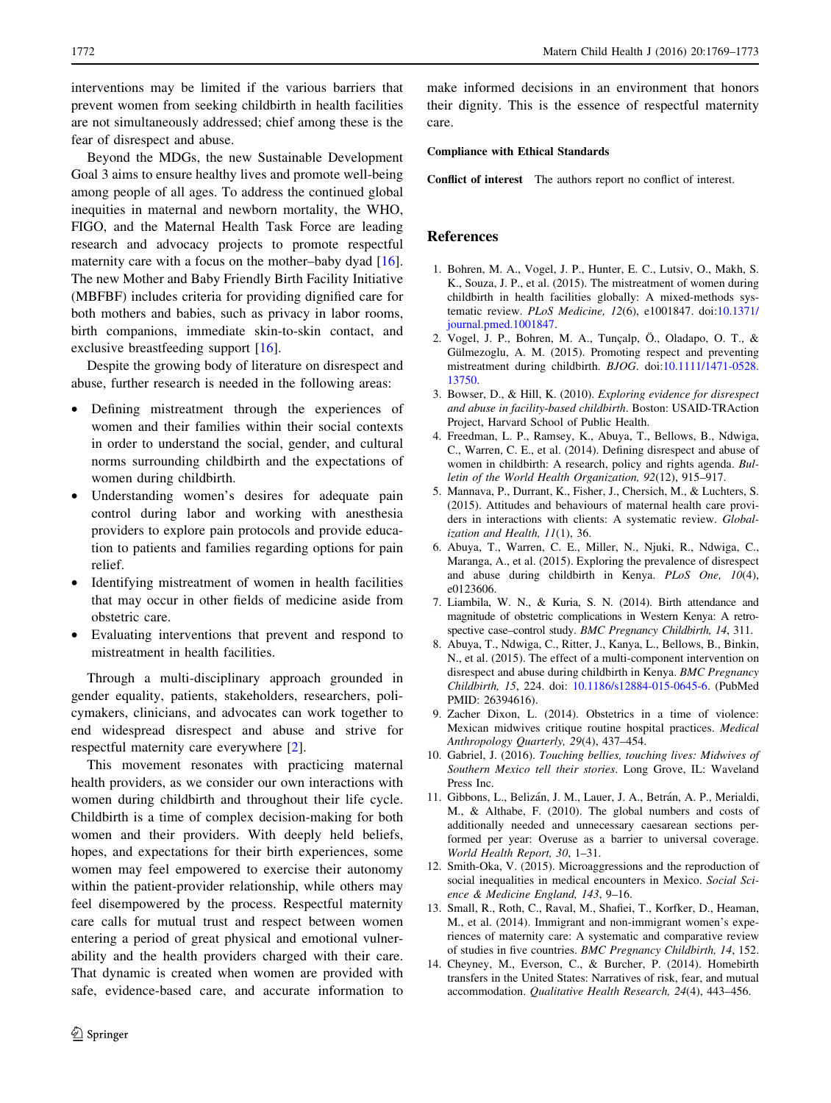<span id="page-3-0"></span>interventions may be limited if the various barriers that prevent women from seeking childbirth in health facilities are not simultaneously addressed; chief among these is the fear of disrespect and abuse.

Beyond the MDGs, the new Sustainable Development Goal 3 aims to ensure healthy lives and promote well-being among people of all ages. To address the continued global inequities in maternal and newborn mortality, the WHO, FIGO, and the Maternal Health Task Force are leading research and advocacy projects to promote respectful maternity care with a focus on the mother–baby dyad [\[16](#page-4-0)]. The new Mother and Baby Friendly Birth Facility Initiative (MBFBF) includes criteria for providing dignified care for both mothers and babies, such as privacy in labor rooms, birth companions, immediate skin-to-skin contact, and exclusive breastfeeding support [\[16](#page-4-0)].

Despite the growing body of literature on disrespect and abuse, further research is needed in the following areas:

- Defining mistreatment through the experiences of women and their families within their social contexts in order to understand the social, gender, and cultural norms surrounding childbirth and the expectations of women during childbirth.
- Understanding women's desires for adequate pain control during labor and working with anesthesia providers to explore pain protocols and provide education to patients and families regarding options for pain relief.
- Identifying mistreatment of women in health facilities that may occur in other fields of medicine aside from obstetric care.
- Evaluating interventions that prevent and respond to mistreatment in health facilities.

Through a multi-disciplinary approach grounded in gender equality, patients, stakeholders, researchers, policymakers, clinicians, and advocates can work together to end widespread disrespect and abuse and strive for respectful maternity care everywhere [2].

This movement resonates with practicing maternal health providers, as we consider our own interactions with women during childbirth and throughout their life cycle. Childbirth is a time of complex decision-making for both women and their providers. With deeply held beliefs, hopes, and expectations for their birth experiences, some women may feel empowered to exercise their autonomy within the patient-provider relationship, while others may feel disempowered by the process. Respectful maternity care calls for mutual trust and respect between women entering a period of great physical and emotional vulnerability and the health providers charged with their care. That dynamic is created when women are provided with safe, evidence-based care, and accurate information to make informed decisions in an environment that honors their dignity. This is the essence of respectful maternity care.

#### Compliance with Ethical Standards

Conflict of interest The authors report no conflict of interest.

## References

- 1. Bohren, M. A., Vogel, J. P., Hunter, E. C., Lutsiv, O., Makh, S. K., Souza, J. P., et al. (2015). The mistreatment of women during childbirth in health facilities globally: A mixed-methods systematic review. PLoS Medicine, 12(6), e1001847. doi[:10.1371/](http://dx.doi.org/10.1371/journal.pmed.1001847) [journal.pmed.1001847.](http://dx.doi.org/10.1371/journal.pmed.1001847)
- 2. Vogel, J. P., Bohren, M. A., Tunçalp, Ö., Oladapo, O. T., & Gülmezoglu, A. M. (2015). Promoting respect and preventing mistreatment during childbirth. BJOG. doi:[10.1111/1471-0528.](http://dx.doi.org/10.1111/1471-0528.13750) [13750.](http://dx.doi.org/10.1111/1471-0528.13750)
- 3. Bowser, D., & Hill, K. (2010). Exploring evidence for disrespect and abuse in facility-based childbirth. Boston: USAID-TRAction Project, Harvard School of Public Health.
- 4. Freedman, L. P., Ramsey, K., Abuya, T., Bellows, B., Ndwiga, C., Warren, C. E., et al. (2014). Defining disrespect and abuse of women in childbirth: A research, policy and rights agenda. Bulletin of the World Health Organization, 92(12), 915–917.
- 5. Mannava, P., Durrant, K., Fisher, J., Chersich, M., & Luchters, S. (2015). Attitudes and behaviours of maternal health care providers in interactions with clients: A systematic review. Globalization and Health, 11(1), 36.
- 6. Abuya, T., Warren, C. E., Miller, N., Njuki, R., Ndwiga, C., Maranga, A., et al. (2015). Exploring the prevalence of disrespect and abuse during childbirth in Kenya. PLoS One, 10(4), e0123606.
- 7. Liambila, W. N., & Kuria, S. N. (2014). Birth attendance and magnitude of obstetric complications in Western Kenya: A retrospective case-control study. BMC Pregnancy Childbirth, 14, 311.
- 8. Abuya, T., Ndwiga, C., Ritter, J., Kanya, L., Bellows, B., Binkin, N., et al. (2015). The effect of a multi-component intervention on disrespect and abuse during childbirth in Kenya. BMC Pregnancy Childbirth, 15, 224. doi: [10.1186/s12884-015-0645-6](http://dx.doi.org/10.1186/s12884-015-0645-6). (PubMed PMID: 26394616).
- 9. Zacher Dixon, L. (2014). Obstetrics in a time of violence: Mexican midwives critique routine hospital practices. Medical Anthropology Quarterly, 29(4), 437–454.
- 10. Gabriel, J. (2016). Touching bellies, touching lives: Midwives of Southern Mexico tell their stories. Long Grove, IL: Waveland Press Inc.
- 11. Gibbons, L., Belizán, J. M., Lauer, J. A., Betrán, A. P., Merialdi, M., & Althabe, F. (2010). The global numbers and costs of additionally needed and unnecessary caesarean sections performed per year: Overuse as a barrier to universal coverage. World Health Report, 30, 1–31.
- 12. Smith-Oka, V. (2015). Microaggressions and the reproduction of social inequalities in medical encounters in Mexico. Social Science & Medicine England, 143, 9–16.
- 13. Small, R., Roth, C., Raval, M., Shafiei, T., Korfker, D., Heaman, M., et al. (2014). Immigrant and non-immigrant women's experiences of maternity care: A systematic and comparative review of studies in five countries. BMC Pregnancy Childbirth, 14, 152.
- 14. Cheyney, M., Everson, C., & Burcher, P. (2014). Homebirth transfers in the United States: Narratives of risk, fear, and mutual accommodation. Qualitative Health Research, 24(4), 443–456.